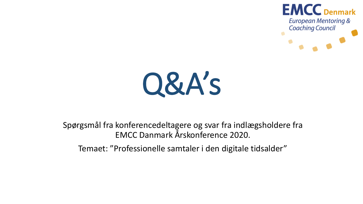



Spørgsmål fra konferencedeltagere og svar fra indlægsholdere fra EMCC Danmark Årskonference 2020.

Temaet: "Professionelle samtaler i den digitale tidsalder"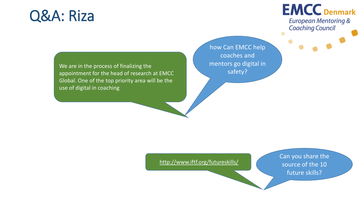### Q&A: Riza

### **EMCC** Denmark **European Mentoring & Coaching Council**

We are in the process of finalizing the appointment for the head of research at EMCC Global. One of the top priority area will be the use of digital in coaching

how Can EMCC help coaches and mentors go digital in safety?

<http://www.iftf.org/futureskills/>

Can you share the source of the 10 future skills?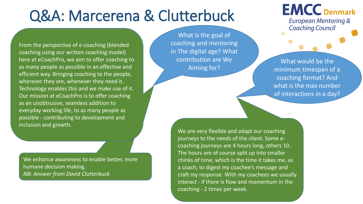From the perspective of e-coaching (blended coaching using our written coaching model) here at eCoachPro, we aim to offer coaching to as many people as possible in an effective and efficient way. Bringing coaching to the people, wherever they are, whenever they need it. Technology enables this and we make use of it. Our mission at eCoachPro is to offer coaching as an unobtrusive, seamless addition to everyday working life, to as many people as possible - contributing to development and inclusion and growth.

We enhance awareness to enable better, more humane decision making. *NB: Answer from David Clutterbuck*

What is the goal of coaching and mentoring in The digital age? What contribution are We Aiming for?

### **EMCC** Denmark **European Mentoring & Coaching Council**

What would be the minimum timespan of a coaching format? And what is the max number of interactions in a day?

We are very flexible and adapt our coaching journeys to the needs of the client. Some ecoaching journeys are 4 hours long, others 10. The hours are of course split up into smaller chinks of time, which is the time it takes me, as a coach, to digest my coachee's message and craft my response. With my coachees we usually interact - if there is flow and momentum in the coaching - 2 times per week.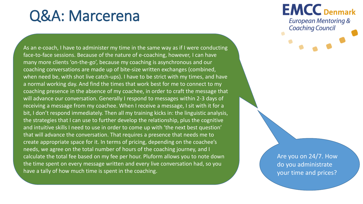As an e-coach, I have to administer my time in the same way as if I were conducting face-to-face sessions. Because of the nature of e-coaching, however, I can have many more clients 'on-the-go', because my coaching is asynchronous and our coaching conversations are made up of bite-size written exchanges (combined, when need be, with shot live catch-ups). I have to be strict with my times, and have a normal working day. And find the times that work best for me to connect to my coaching presence in the absence of my coachee, in order to craft the message that will advance our conversation. Generally I respond to messages within 2-3 days of receiving a message from my coachee. When I receive a message, I sit with it for a bit, I don't respond immediately. Then all my training kicks in: the linguistic analysis, the strategies that I can use to further develop the relationship, plus the cognitive and intuitive skills I need to use in order to come up with 'the next best question' that will advance the conversation. That requires a presence that needs me to create appropriate space for it. In terms of pricing, depending on the coachee's needs, we agree on the total number of hours of the coaching journey, and I calculate the total fee based on my fee per hour. Pluform allows you to note down the time spent on every message written and every live conversation had, so you have a tally of how much time is spent in the coaching.

**EMCC** Denmark **European Mentoring & Coaching Council** 

Are you on 24/7. How do you administrate your time and prices?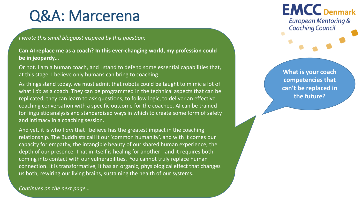*I wrote this small blogpost inspired by this question:*

**Can AI replace me as a coach? In this ever-changing world, my profession could be in jeopardy…**

Or not. I am a human coach, and I stand to defend some essential capabilities that, at this stage, I believe only humans can bring to coaching.

As things stand today, we must admit that robots could be taught to mimic a lot of what I *do* as a coach. They can be programmed in the technical aspects that can be replicated, they can learn to ask questions, to follow logic, to deliver an effective coaching conversation with a specific outcome for the coachee. AI can be trained for linguistic analysis and standardised ways in which to create some form of safety and intimacy in a coaching session.

And yet, it is who I *am* that I believe has the greatest impact in the coaching relationship. The Buddhists call it our 'common humanity', and with it comes our capacity for empathy, the intangible beauty of our shared human experience, the depth of our presence. That in itself is healing for another - and it requires both coming into contact with our vulnerabilities. You cannot truly replace human connection. It is transformative, it has an organic, physiological effect that changes us both, rewiring our living brains, sustaining the health of our systems.

**EMCC** Denmark **European Mentoring & Coaching Council** 

**What is your coach competencies that can't be replaced in the future?**

*Continues on the next page…*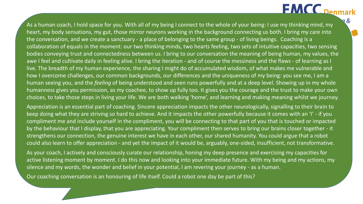### **EMCC** Denmark

As a human coach, I hold space for you. With all of my being I connect to the whole of your being: I use my thinking mind, my heart, my body sensations, my gut, those mirror neurons working in the background connecting us both. I bring my care into the conversation, and we create a sanctuary - a place of belonging to the same group - of living beings. Coaching is a collaboration of equals in the moment: our two thinking minds, two hearts feeling, two sets of intuitive capacities, two sensing bodies conveying trust and connectedness between us. I bring to our conversation the meaning of being human, my values, the awe I feel and cultivate daily in feeling alive. I bring the iteration - and of course the messiness and the flaws - of learning as I live. The breadth of my human experience, the sharing I might do of accumulated wisdom, of what makes me vulnerable and how I overcome challenges, our common backgrounds, our differences and the uniqueness of my being: you see me, I am a human seeing you, and the *feeling* of being understood and seen runs powerfully and at a deep level. Showing up in my whole humanness gives you permission, as my coachee, to show up fully too. It gives you the courage and the trust to make your own choices, to take those steps in living your life. We are both walking 'home', and learning and making meaning whilst we journey.

Appreciation is an essential part of coaching. Sincere appreciation impacts the other neurologically, signalling to their brain to keep doing what they are striving so hard to achieve. And it impacts the other powerfully because it comes with an 'I' - if you compliment me and include yourself in the compliment, you will be connecting to that part of you that is touched or impacted by the behaviour that I display, that you are appreciating. Your compliment then serves to bring our brains closer together - it strengthens our connection, the genuine interest we have in each other, our shared humanity. You could argue that a robot could also learn to offer appreciation - and yet the impact of it would be, arguably, one-sided, insufficient, not transformative.

As your coach, I actively and consciously curate our relationship, honing my deep presence and exercising my capacities for active listening moment by moment. I do this now and looking into your immediate future. With my being and my actions, my silence and my words, the wonder and belief in your potential, I am revering your journey - as a human.

Our coaching conversation is an honouring of life itself. Could a robot one day be part of this?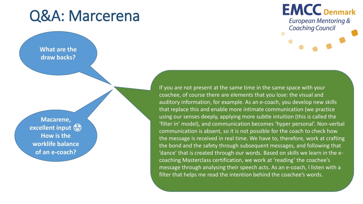#### **What are the draw backs?**

**Macarene, excellent input How is the worklife balance of an e-coach?**

### **EMCC** Denmark **European Mentoring & Coaching Council**

If you are not present at the same time in the same space with your coachee, of course there are elements that you lose: the visual and auditory information, for example. As an e-coach, you develop new skills that replace this and enable more intimate communication (we practice using our senses deeply, applying more subtle intuition (this is called the 'filter in' model), and communication becomes 'hyper personal'. Non-verbal communication is absent, so it is not possible for the coach to check how the message is received in real time. We have to, therefore, work at crafting the bond and the safety through subsequent messages, and following that 'dance' that is created through our words. Based on skills we learn in the ecoaching Masterclass certification, we work at 'reading' the coachee's message through analysing their speech acts. As an e-coach, I listen with a filter that helps me read the intention behind the coachee's words.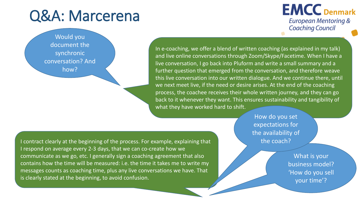Would you document the synchronic conversation? And how?

### **EMCC** Denmark **European Mentoring & Coaching Council**

In e-coaching, we offer a blend of written coaching (as explained in my talk) and live online conversations through Zoom/Skype/Facetime. When I have a live conversation, I go back into Pluform and write a small summary and a further question that emerged from the conversation, and therefore weave this live conversation into our written dialogue. And we continue there, until we next meet live, if the need or desire arises. At the end of the coaching process, the coachee receives their whole written journey, and they can go back to it whenever they want. This ensures sustainability and tangibility of what they have worked hard to shift.

I contract clearly at the beginning of the process. For example, explaining that I respond on average every 2-3 days, that we can co-create how we communicate as we go, etc. I generally sign a coaching agreement that also contains how the time will be measured: i.e. the time it takes me to write my messages counts as coaching time, plus any live conversations we have. That is clearly stated at the beginning, to avoid confusion.

How do you set expectations for the availability of the coach?

> What is your business model? 'How do you sell your time'?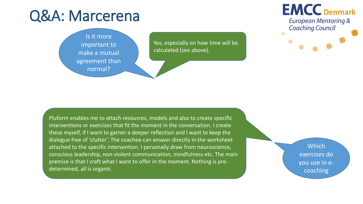

Yes, especially on how time will be calculated (see above).

### **EMCC** Denmark **European Mentoring & Coaching Council**

Pluform enables me to attach resources, models and also to create specific interventions or exercises that fit the moment in the conversation. I create these myself, if I want to garner a deeper reflection and I want to keep the dialogue free of 'clutter'. The coachee can answer directly in the worksheet attached to the specific intervention. I personally draw from neuroscience, conscious leadership, non-violent communication, mindfulness etc. The main premise is that I craft what I want to offer in the moment. Nothing is predetermined, all is organic.

**Which** exercises do you use in ecoaching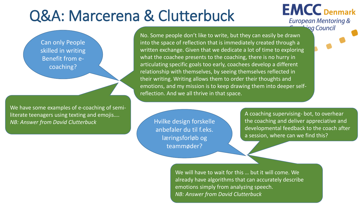Can only People skilled in writing Benefit from ecoaching?

We have some examples of e-coaching of semiliterate teenagers using texting and emojis…. *NB: Answer from David Clutterbuck* **Hydram And All Huilke design forskelle** 

No. Some people don't like to write, but they can easily be drawn into the space of reflection that is immediately created through a written exchange. Given that we dedicate a lot of time to exploring what the coachee presents to the coaching, there is no hurry in articulating specific goals too early, coachees develop a different relationship with themselves, by seeing themselves reflected in their writing. Writing allows them to order their thoughts and emotions, and my mission is to keep drawing them into deeper selfreflection. And we all thrive in that space.

> anbefaler du til f.eks. læringsforløb og teammøder?

A coaching supervising- bot, to overhear the coaching and deliver appreciative and developmental feedback to the coach after a session, where can we find this?

**EMCC** Denmark

**European Mentoring &** ing Council

We will have to wait for this … but it will come. We already have algorithms that can accurately describe emotions simply from analyzing speech. *NB: Answer from David Clutterbuck*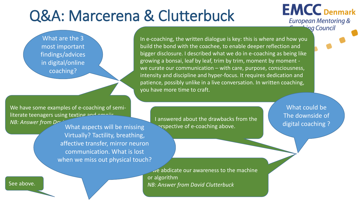What are the 3 most important findings/advices in digital/online coaching?

We have some examples of e-coaching of semiliterate teenagers using texting and emojic. *NB: Answer from David Clutterbuck* I answered about the drawbacks from the

What aspects will be missing Virtually? Tactility, breathing, affective transfer, mirror neuron communication. What is lost when we miss out physical touch?

In e-coaching, the written dialogue is key: this is where and how you build the bond with the coachee, to enable deeper reflection and bigger disclosure. I described what we do in e-coaching as being like growing a bonsai, leaf by leaf, trim by trim, moment by moment we curate our communication – with care, purpose, consciousness, intensity and discipline and hyper-focus. It requires dedication and patience, possibly unlike in a live conversation. In written coaching, you have more time to craft.

arspective of e-coaching above.

What could be The downside of digital coaching ?

**EMCC** Denmark

**European Mentoring &** ing Council

 $\vee$ e abdicate our awareness to the machine or algorithm See above. **NB: Answer from David Clutterbuck**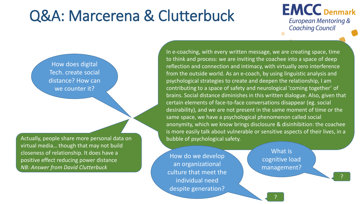

How does digital Tech. create social distance? How can we counter it?

Actually, people share more personal data on virtual media… though that may not build closeness of relationship. It does have a positive effect reducing power distance *NB: Answer from David Clutterbuck*

In e-coaching, with every written message, we are creating space, time to think and process: we are inviting the coachee into a space of deep reflection and connection and intimacy, with virtually zero interference from the outside world. As an e-coach, by using linguistic analysis and psychological strategies to create and deepen the relationship, I am contributing to a space of safety and neurological 'coming together' of brains. Social distance diminishes in this written dialogue. Also, given that certain elements of face-to-face conversations disappear (eg. social desirability), and we are not present in the same moment of time or the same space, we have a psychological phenomenon called social anonymity, which we know brings disclosure & disinhibition: the coachee is more easily talk about vulnerable or sensitive aspects of their lives, in a bubble of psychological safety.

How do we develop an organizational culture that meet the individual need despite generation?

What is cognitive load management?

?

?